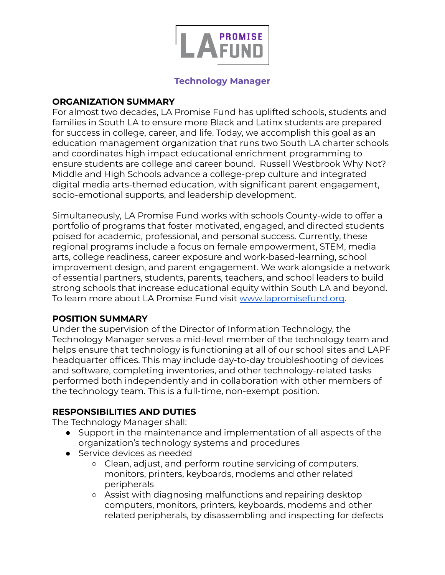

#### **Technology Manager**

#### **ORGANIZATION SUMMARY**

For almost two decades, LA Promise Fund has uplifted schools, students and families in South LA to ensure more Black and Latinx students are prepared for success in college, career, and life. Today, we accomplish this goal as an education management organization that runs two South LA charter schools and coordinates high impact educational enrichment programming to ensure students are college and career bound. Russell Westbrook Why Not? Middle and High Schools advance a college-prep culture and integrated digital media arts-themed education, with significant parent engagement, socio-emotional supports, and leadership development.

Simultaneously, LA Promise Fund works with schools County-wide to offer a portfolio of programs that foster motivated, engaged, and directed students poised for academic, professional, and personal success. Currently, these regional programs include a focus on female empowerment, STEM, media arts, college readiness, career exposure and work-based-learning, school improvement design, and parent engagement. We work alongside a network of essential partners, students, parents, teachers, and school leaders to build strong schools that increase educational equity within South LA and beyond. To learn more about LA Promise Fund visit [www.lapromisefund.org](http://www.lapromisefund.org/).

#### **POSITION SUMMARY**

Under the supervision of the Director of Information Technology, the Technology Manager serves a mid-level member of the technology team and helps ensure that technology is functioning at all of our school sites and LAPF headquarter offices. This may include day-to-day troubleshooting of devices and software, completing inventories, and other technology-related tasks performed both independently and in collaboration with other members of the technology team. This is a full-time, non-exempt position.

## **RESPONSIBILITIES AND DUTIES**

The Technology Manager shall:

- Support in the maintenance and implementation of all aspects of the organization's technology systems and procedures
- Service devices as needed
	- Clean, adjust, and perform routine servicing of computers, monitors, printers, keyboards, modems and other related peripherals
	- Assist with diagnosing malfunctions and repairing desktop computers, monitors, printers, keyboards, modems and other related peripherals, by disassembling and inspecting for defects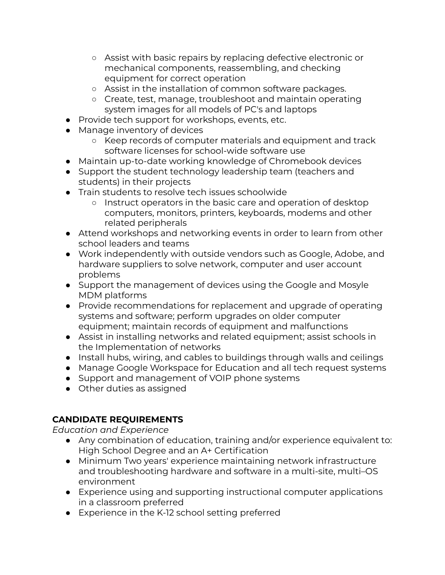- Assist with basic repairs by replacing defective electronic or mechanical components, reassembling, and checking equipment for correct operation
- Assist in the installation of common software packages.
- Create, test, manage, troubleshoot and maintain operating system images for all models of PC's and laptops
- Provide tech support for workshops, events, etc.
- Manage inventory of devices
	- Keep records of computer materials and equipment and track software licenses for school-wide software use
- Maintain up-to-date working knowledge of Chromebook devices
- Support the student technology leadership team (teachers and students) in their projects
- Train students to resolve tech issues schoolwide
	- Instruct operators in the basic care and operation of desktop computers, monitors, printers, keyboards, modems and other related peripherals
- Attend workshops and networking events in order to learn from other school leaders and teams
- Work independently with outside vendors such as Google, Adobe, and hardware suppliers to solve network, computer and user account problems
- Support the management of devices using the Google and Mosyle MDM platforms
- Provide recommendations for replacement and upgrade of operating systems and software; perform upgrades on older computer equipment; maintain records of equipment and malfunctions
- Assist in installing networks and related equipment; assist schools in the Implementation of networks
- Install hubs, wiring, and cables to buildings through walls and ceilings
- Manage Google Workspace for Education and all tech request systems
- Support and management of VOIP phone systems
- Other duties as assigned

## **CANDIDATE REQUIREMENTS**

*Education and Experience*

- Any combination of education, training and/or experience equivalent to: High School Degree and an A+ Certification
- Minimum Two years' experience maintaining network infrastructure and troubleshooting hardware and software in a multi-site, multi–OS environment
- Experience using and supporting instructional computer applications in a classroom preferred
- Experience in the K-12 school setting preferred